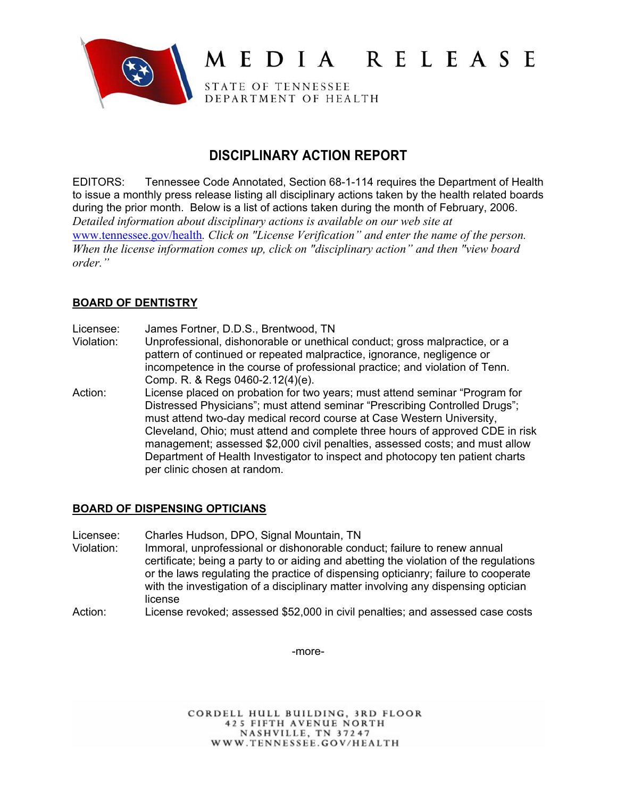

# MEDIA RELEASE

STATE OF TENNESSEE DEPARTMENT OF HEALTH

# **DISCIPLINARY ACTION REPORT**

EDITORS: Tennessee Code Annotated, Section 68-1-114 requires the Department of Health to issue a monthly press release listing all disciplinary actions taken by the health related boards during the prior month. Below is a list of actions taken during the month of February, 2006. *Detailed information about disciplinary actions is available on our web site at*  www.tennessee.gov/health*. Click on "License Verification" and enter the name of the person. When the license information comes up, click on "disciplinary action" and then "view board order."* 

# **BOARD OF DENTISTRY**

- Licensee: James Fortner, D.D.S., Brentwood, TN
- Violation: Unprofessional, dishonorable or unethical conduct; gross malpractice, or a pattern of continued or repeated malpractice, ignorance, negligence or incompetence in the course of professional practice; and violation of Tenn. Comp. R. & Regs 0460-2.12(4)(e).
- Action: License placed on probation for two years; must attend seminar "Program for Distressed Physicians"; must attend seminar "Prescribing Controlled Drugs"; must attend two-day medical record course at Case Western University, Cleveland, Ohio; must attend and complete three hours of approved CDE in risk management; assessed \$2,000 civil penalties, assessed costs; and must allow Department of Health Investigator to inspect and photocopy ten patient charts per clinic chosen at random.

# **BOARD OF DISPENSING OPTICIANS**

- Licensee: Charles Hudson, DPO, Signal Mountain, TN
- Violation: Immoral, unprofessional or dishonorable conduct; failure to renew annual certificate; being a party to or aiding and abetting the violation of the regulations or the laws regulating the practice of dispensing opticianry; failure to cooperate with the investigation of a disciplinary matter involving any dispensing optician license
- Action: License revoked; assessed \$52,000 in civil penalties; and assessed case costs

-more-

CORDELL HULL BUILDING, 3RD FLOOR **425 FIFTH AVENUE NORTH** NASHVILLE, TN 37247 WWW.TENNESSEE.GOV/HEALTH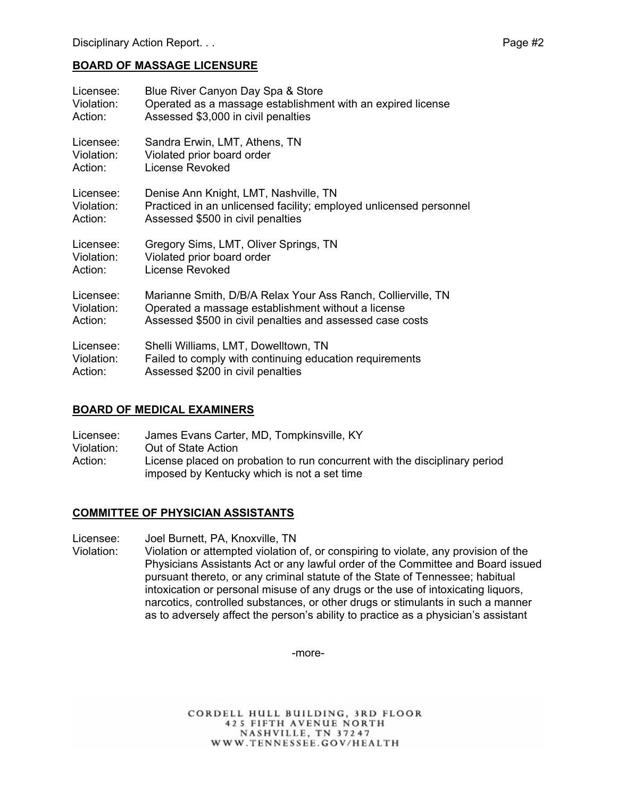#### **BOARD OF MASSAGE LICENSURE**

| Licensee:  | Blue River Canyon Day Spa & Store                                  |
|------------|--------------------------------------------------------------------|
| Violation: | Operated as a massage establishment with an expired license        |
| Action:    | Assessed \$3,000 in civil penalties                                |
| Licensee:  | Sandra Erwin, LMT, Athens, TN                                      |
| Violation: | Violated prior board order                                         |
| Action:    | License Revoked                                                    |
| Licensee:  | Denise Ann Knight, LMT, Nashville, TN                              |
| Violation: | Practiced in an unlicensed facility; employed unlicensed personnel |
| Action:    | Assessed \$500 in civil penalties                                  |
| Licensee:  | Gregory Sims, LMT, Oliver Springs, TN                              |
| Violation: | Violated prior board order                                         |
| Action:    | License Revoked                                                    |
| Licensee:  | Marianne Smith, D/B/A Relax Your Ass Ranch, Collierville, TN       |
| Violation: | Operated a massage establishment without a license                 |
| Action:    | Assessed \$500 in civil penalties and assessed case costs          |
| Licensee:  | Shelli Williams, LMT, Dowelltown, TN                               |
| Violation: | Failed to comply with continuing education requirements            |
| Action:    | Assessed \$200 in civil penalties                                  |

#### **BOARD OF MEDICAL EXAMINERS**

Licensee: James Evans Carter, MD, Tompkinsville, KY Violation: Out of State Action Action: License placed on probation to run concurrent with the disciplinary period imposed by Kentucky which is not a set time

#### **COMMITTEE OF PHYSICIAN ASSISTANTS**

Licensee: Joel Burnett, PA, Knoxville, TN

Violation: Violation or attempted violation of, or conspiring to violate, any provision of the Physicians Assistants Act or any lawful order of the Committee and Board issued pursuant thereto, or any criminal statute of the State of Tennessee; habitual intoxication or personal misuse of any drugs or the use of intoxicating liquors, narcotics, controlled substances, or other drugs or stimulants in such a manner as to adversely affect the person's ability to practice as a physician's assistant

-more-

CORDELL HULL BUILDING, 3RD FLOOR **425 FIFTH AVENUE NORTH** NASHVILLE, TN 37247 WWW.TENNESSEE.GOV/HEALTH